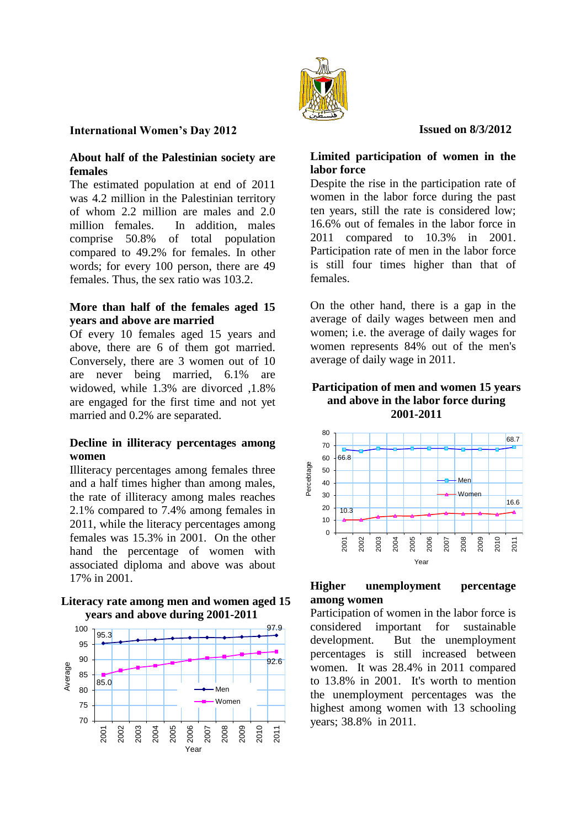

**International Women's Day 2012**

# **About half of the Palestinian society are females**

The estimated population at end of 2011 was 4.2 million in the Palestinian territory of whom 2.2 million are males and 2.0 million females. In addition, males comprise 50.8% of total population compared to 49.2% for females. In other words; for every 100 person, there are 49 females. Thus, the sex ratio was 103.2.

# **More than half of the females aged 15 years and above are married**

Of every 10 females aged 15 years and above, there are 6 of them got married. Conversely, there are 3 women out of 10 are never being married, 6.1% are widowed, while 1.3% are divorced ,1.8% are engaged for the first time and not yet married and 0.2% are separated.

# **Decline in illiteracy percentages among women**

Illiteracy percentages among females three and a half times higher than among males, the rate of illiteracy among males reaches 2.1% compared to 7.4% among females in 2011, while the literacy percentages among females was 15.3% in 2001. On the other hand the percentage of women with associated diploma and above was about 17% in 2001.

# **Literacy rate among men and women aged 15 years and above during 2001-2011**



# **Limited participation of women in the**

 **Issued on 8/3/2012**

**labor force** Despite the rise in the participation rate of women in the labor force during the past ten years, still the rate is considered low; 16.6% out of females in the labor force in 2011 compared to 10.3% in 2001. Participation rate of men in the labor force is still four times higher than that of females.

On the other hand, there is a gap in the average of daily wages between men and women; i.e. the average of daily wages for women represents 84% out of the men's average of daily wage in 2011.

#### **Participation of men and women 15 years and above in the labor force during 2001-2011**



# **Higher unemployment percentage among women**

Participation of women in the labor force is considered important for sustainable development. But the unemployment percentages is still increased between women. It was 28.4% in 2011 compared to 13.8% in 2001. It's worth to mention the unemployment percentages was the highest among women with 13 schooling years; 38.8% in 2011.